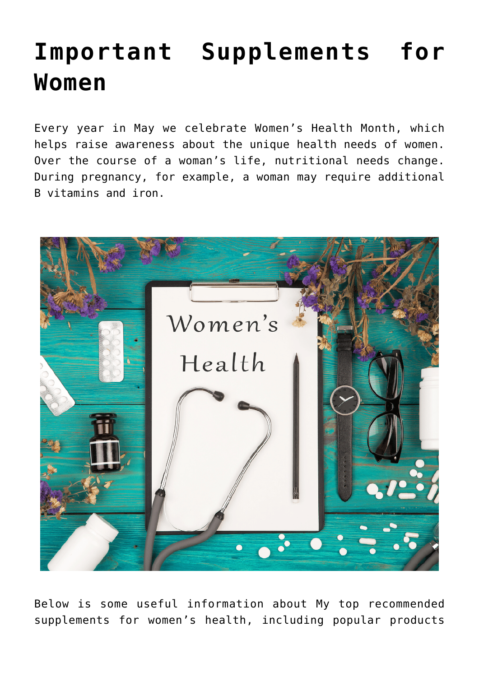## **[Important Supplements for](https://sproutshealth.com/women-deserve-better/) [Women](https://sproutshealth.com/women-deserve-better/)**

Every year in May we celebrate Women's Health Month, which helps raise awareness about the unique health needs of women. Over the course of a woman's life, nutritional needs change. During pregnancy, for example, a woman may require additional B vitamins and iron.



Below is some useful information about My top recommended supplements for women's health, including popular products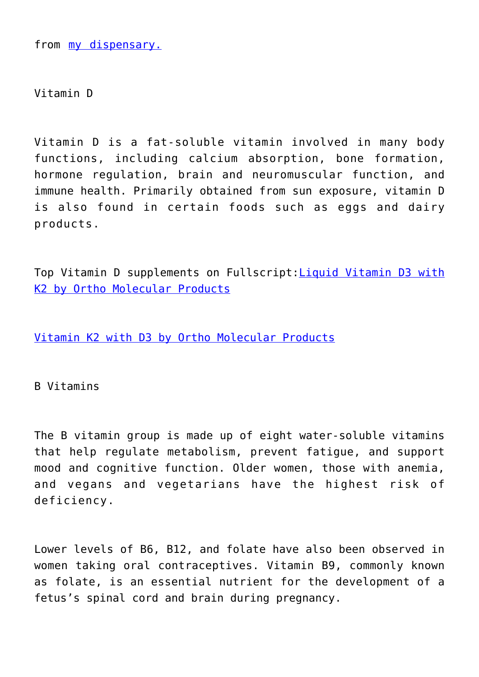from [my dispensary.](https://us.fullscript.com/welcome/sproutshealth)

Vitamin D

Vitamin D is a fat-soluble vitamin involved in many body functions, including calcium absorption, bone formation, hormone regulation, brain and neuromuscular function, and immune health. Primarily obtained from sun exposure, vitamin D is also found in certain foods such as eggs and dairy products.

Top Vitamin D supplements on Fullscript:[Liquid Vitamin D3 with](https://us.fullscript.com/u/catalog/products/76410?search%5Bbrand_id%5D=&search%5Bcategory_id%5D=&search%5Bquery%5D=Liquid+Vitamin+D3+with+K2) [K2 by Ortho Molecular Products](https://us.fullscript.com/u/catalog/products/76410?search%5Bbrand_id%5D=&search%5Bcategory_id%5D=&search%5Bquery%5D=Liquid+Vitamin+D3+with+K2)

[Vitamin K2 with D3 by Ortho Molecular Products](https://us.fullscript.com/u/catalog/products/76411?search%5Bbrand_id%5D=&search%5Bcategory_id%5D=&search%5Bquery%5D=Vitamin+K2+with+D3)

B Vitamins

The B vitamin group is made up of eight water-soluble vitamins that help regulate metabolism, prevent fatigue, and support mood and cognitive function. Older women, those with anemia, and vegans and vegetarians have the highest risk of deficiency.

Lower levels of B6, B12, and folate have also been observed in women taking oral contraceptives. Vitamin B9, commonly known as folate, is an essential nutrient for the development of a fetus's spinal cord and brain during pregnancy.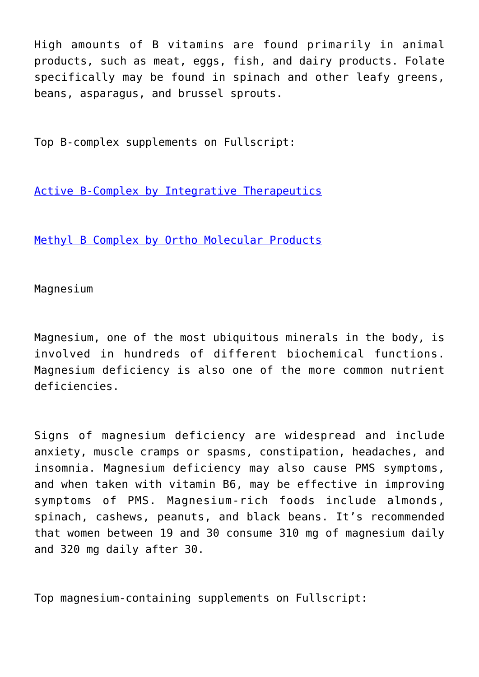High amounts of B vitamins are found primarily in animal products, such as meat, eggs, fish, and dairy products. Folate specifically may be found in spinach and other leafy greens, beans, asparagus, and brussel sprouts.

Top B-complex supplements on Fullscript:

[Active B-Complex by Integrative Therapeutics](https://us.fullscript.com/u/catalog/products/73338?search%5Bbrand_id%5D=&search%5Bcategory_id%5D=&search%5Bquery%5D=Active+B-Complex)

[Methyl B Complex by Ortho Molecular Products](https://us.fullscript.com/u/catalog/products/77651?search%5Bbrand_id%5D=&search%5Bcategory_id%5D=&search%5Bquery%5D=Methyl+B+Complex)

Magnesium

Magnesium, one of the most ubiquitous minerals in the body, is involved in hundreds of different biochemical functions. Magnesium deficiency is also one of the more common nutrient deficiencies.

Signs of magnesium deficiency are widespread and include anxiety, muscle cramps or spasms, constipation, headaches, and insomnia. Magnesium deficiency may also cause PMS symptoms, and when taken with vitamin B6, may be effective in improving symptoms of PMS. Magnesium-rich foods include almonds, spinach, cashews, peanuts, and black beans. It's recommended that women between 19 and 30 consume 310 mg of magnesium daily and 320 mg daily after 30.

Top magnesium-containing supplements on Fullscript: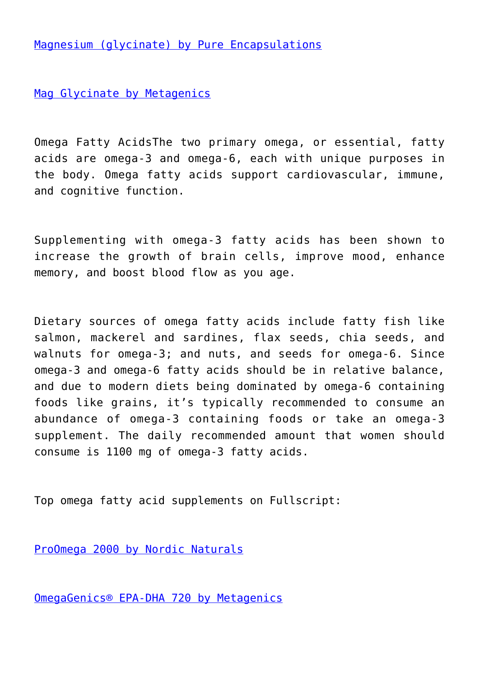[Magnesium \(glycinate\) by Pure Encapsulations](https://us.fullscript.com/u/catalog/products/70589?search%5Bbrand_id%5D=&search%5Bcategory_id%5D=&search%5Bquery%5D=Magnesium+%28glycinate%29)

[Mag Glycinate by Metagenics](https://us.fullscript.com/u/catalog/products/62984?search%5Bbrand_id%5D=&search%5Bcategory_id%5D=&search%5Bquery%5D=Mag+Glycinate)

Omega Fatty AcidsThe two primary omega, or essential, fatty acids are omega-3 and omega-6, each with unique purposes in the body. Omega fatty acids support cardiovascular, immune, and cognitive function.

Supplementing with omega-3 fatty acids has been shown to increase the growth of brain cells, improve mood, enhance memory, and boost blood flow as you age.

Dietary sources of omega fatty acids include fatty fish like salmon, mackerel and sardines, flax seeds, chia seeds, and walnuts for omega-3; and nuts, and seeds for omega-6. Since omega-3 and omega-6 fatty acids should be in relative balance, and due to modern diets being dominated by omega-6 containing foods like grains, it's typically recommended to consume an abundance of omega-3 containing foods or take an omega-3 supplement. The daily recommended amount that women should consume is 1100 mg of omega-3 fatty acids.

Top omega fatty acid supplements on Fullscript:

[ProOmega 2000 by Nordic Naturals](https://us.fullscript.com/u/catalog/products/78929?search%5Bbrand_id%5D=&search%5Bcategory_id%5D=&search%5Bquery%5D=ProOmega+2000)

[OmegaGenics® EPA-DHA 720 by Metagenics](https://us.fullscript.com/u/catalog/products/62955?search%5Bbrand_id%5D=&search%5Bcategory_id%5D=&search%5Bquery%5D=OmegaGenics%C2%AE+EPA-DHA+720)